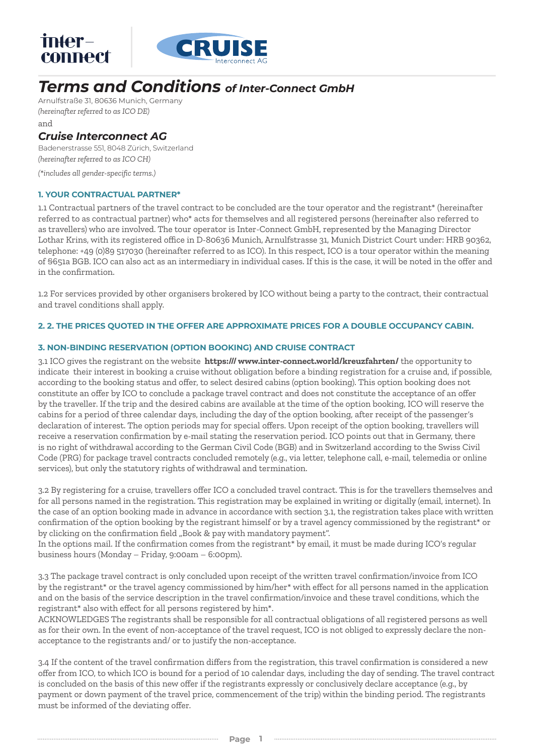

# *Terms and Conditions of Inter-Connect GmbH*

Arnulfstraße 31, 80636 Munich, Germany *(hereinafter referred to as ICO DE)* and

## *Cruise Interconnect AG*

Badenerstrasse 551, 8048 Zürich, Switzerland *(hereinafter referred to as ICO CH)*

*(\*includes all gender-specific terms.)*

## **1. YOUR CONTRACTUAL PARTNER\***

1.1 Contractual partners of the travel contract to be concluded are the tour operator and the registrant\* (hereinafter referred to as contractual partner) who\* acts for themselves and all registered persons (hereinafter also referred to as travellers) who are involved. The tour operator is Inter-Connect GmbH, represented by the Managing Director Lothar Krins, with its registered office in D-80636 Munich, Arnulfstrasse 31, Munich District Court under: HRB 90362, telephone: +49 (0)89 517030 (hereinafter referred to as ICO). In this respect, ICO is a tour operator within the meaning of §651a BGB. ICO can also act as an intermediary in individual cases. If this is the case, it will be noted in the offer and in the confirmation.

1.2 For services provided by other organisers brokered by ICO without being a party to the contract, their contractual and travel conditions shall apply.

## **2. 2. THE PRICES QUOTED IN THE OFFER ARE APPROXIMATE PRICES FOR A DOUBLE OCCUPANCY CABIN.**

#### **3. NON-BINDING RESERVATION (OPTION BOOKING) AND CRUISE CONTRACT**

3.1 ICO gives the registrant on the website **https:/// www.inter-connect.world/kreuzfahrten/** the opportunity to indicate their interest in booking a cruise without obligation before a binding registration for a cruise and, if possible, according to the booking status and offer, to select desired cabins (option booking). This option booking does not constitute an offer by ICO to conclude a package travel contract and does not constitute the acceptance of an offer by the traveller. If the trip and the desired cabins are available at the time of the option booking, ICO will reserve the cabins for a period of three calendar days, including the day of the option booking, after receipt of the passenger's declaration of interest. The option periods may for special offers. Upon receipt of the option booking, travellers will receive a reservation confirmation by e-mail stating the reservation period. ICO points out that in Germany, there is no right of withdrawal according to the German Civil Code (BGB) and in Switzerland according to the Swiss Civil Code (PRG) for package travel contracts concluded remotely (e.g., via letter, telephone call, e-mail, telemedia or online services), but only the statutory rights of withdrawal and termination.

3.2 By registering for a cruise, travellers offer ICO a concluded travel contract. This is for the travellers themselves and for all persons named in the registration. This registration may be explained in writing or digitally (email, internet). In the case of an option booking made in advance in accordance with section 3.1, the registration takes place with written confirmation of the option booking by the registrant himself or by a travel agency commissioned by the registrant\* or by clicking on the confirmation field "Book & pay with mandatory payment".

In the options mail. If the confirmation comes from the registrant\* by email, it must be made during ICO's regular business hours (Monday – Friday, 9:00am – 6:00pm).

3.3 The package travel contract is only concluded upon receipt of the written travel confirmation/invoice from ICO by the registrant\* or the travel agency commissioned by him/her\* with effect for all persons named in the application and on the basis of the service description in the travel confirmation/invoice and these travel conditions, which the registrant\* also with effect for all persons registered by him\*.

ACKNOWLEDGES The registrants shall be responsible for all contractual obligations of all registered persons as well as for their own. In the event of non-acceptance of the travel request, ICO is not obliged to expressly declare the nonacceptance to the registrants and/ or to justify the non-acceptance.

3.4 If the content of the travel confirmation differs from the registration, this travel confirmation is considered a new offer from ICO, to which ICO is bound for a period of 10 calendar days, including the day of sending. The travel contract is concluded on the basis of this new offer if the registrants expressly or conclusively declare acceptance (e.g., by payment or down payment of the travel price, commencement of the trip) within the binding period. The registrants must be informed of the deviating offer.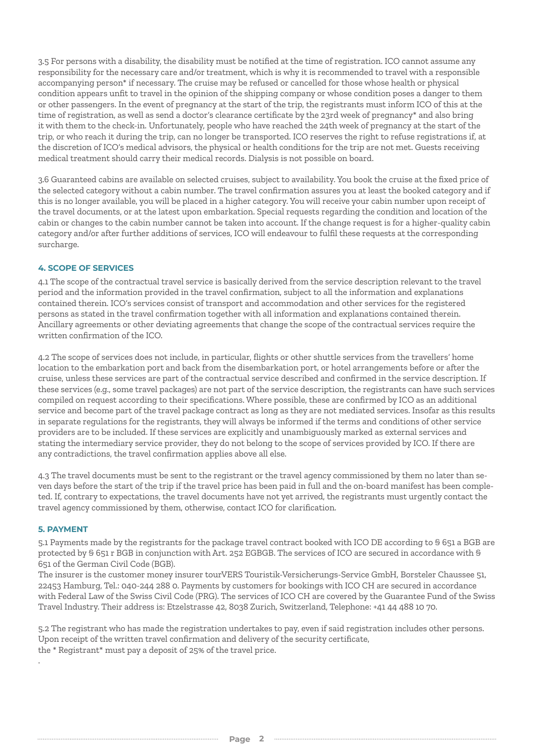3.5 For persons with a disability, the disability must be notified at the time of registration. ICO cannot assume any responsibility for the necessary care and/or treatment, which is why it is recommended to travel with a responsible accompanying person\* if necessary. The cruise may be refused or cancelled for those whose health or physical condition appears unfit to travel in the opinion of the shipping company or whose condition poses a danger to them or other passengers. In the event of pregnancy at the start of the trip, the registrants must inform ICO of this at the time of registration, as well as send a doctor's clearance certificate by the 23rd week of pregnancy\* and also bring it with them to the check-in. Unfortunately, people who have reached the 24th week of pregnancy at the start of the trip, or who reach it during the trip, can no longer be transported. ICO reserves the right to refuse registrations if, at the discretion of ICO's medical advisors, the physical or health conditions for the trip are not met. Guests receiving medical treatment should carry their medical records. Dialysis is not possible on board.

3.6 Guaranteed cabins are available on selected cruises, subject to availability. You book the cruise at the fixed price of the selected category without a cabin number. The travel confirmation assures you at least the booked category and if this is no longer available, you will be placed in a higher category. You will receive your cabin number upon receipt of the travel documents, or at the latest upon embarkation. Special requests regarding the condition and location of the cabin or changes to the cabin number cannot be taken into account. If the change request is for a higher-quality cabin category and/or after further additions of services, ICO will endeavour to fulfil these requests at the corresponding surcharge.

## **4. SCOPE OF SERVICES**

4.1 The scope of the contractual travel service is basically derived from the service description relevant to the travel period and the information provided in the travel confirmation, subject to all the information and explanations contained therein. ICO's services consist of transport and accommodation and other services for the registered persons as stated in the travel confirmation together with all information and explanations contained therein. Ancillary agreements or other deviating agreements that change the scope of the contractual services require the written confirmation of the ICO.

4.2 The scope of services does not include, in particular, flights or other shuttle services from the travellers' home location to the embarkation port and back from the disembarkation port, or hotel arrangements before or after the cruise, unless these services are part of the contractual service described and confirmed in the service description. If these services (e.g., some travel packages) are not part of the service description, the registrants can have such services compiled on request according to their specifications. Where possible, these are confirmed by ICO as an additional service and become part of the travel package contract as long as they are not mediated services. Insofar as this results in separate regulations for the registrants, they will always be informed if the terms and conditions of other service providers are to be included. If these services are explicitly and unambiguously marked as external services and stating the intermediary service provider, they do not belong to the scope of services provided by ICO. If there are any contradictions, the travel confirmation applies above all else.

4.3 The travel documents must be sent to the registrant or the travel agency commissioned by them no later than seven days before the start of the trip if the travel price has been paid in full and the on-board manifest has been completed. If, contrary to expectations, the travel documents have not yet arrived, the registrants must urgently contact the travel agency commissioned by them, otherwise, contact ICO for clarification.

#### **5. PAYMENT**

.

5.1 Payments made by the registrants for the package travel contract booked with ICO DE according to § 651 a BGB are protected by § 651 r BGB in conjunction with Art. 252 EGBGB. The services of ICO are secured in accordance with § 651 of the German Civil Code (BGB).

The insurer is the customer money insurer tourVERS Touristik-Versicherungs-Service GmbH, Borsteler Chaussee 51, 22453 Hamburg, Tel.: 040-244 288 0. Payments by customers for bookings with ICO CH are secured in accordance with Federal Law of the Swiss Civil Code (PRG). The services of ICO CH are covered by the Guarantee Fund of the Swiss Travel Industry. Their address is: Etzelstrasse 42, 8038 Zurich, Switzerland, Telephone: +41 44 488 10 70.

5.2 The registrant who has made the registration undertakes to pay, even if said registration includes other persons. Upon receipt of the written travel confirmation and delivery of the security certificate, the \* Registrant\* must pay a deposit of 25% of the travel price.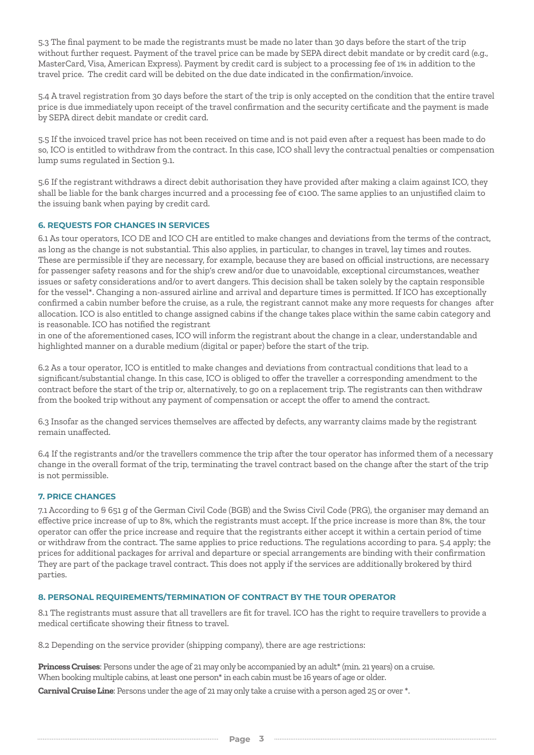5.3 The final payment to be made the registrants must be made no later than 30 days before the start of the trip without further request. Payment of the travel price can be made by SEPA direct debit mandate or by credit card (e.g., MasterCard, Visa, American Express). Payment by credit card is subject to a processing fee of 1% in addition to the travel price. The credit card will be debited on the due date indicated in the confirmation/invoice.

5.4 A travel registration from 30 days before the start of the trip is only accepted on the condition that the entire travel price is due immediately upon receipt of the travel confirmation and the security certificate and the payment is made by SEPA direct debit mandate or credit card.

5.5 If the invoiced travel price has not been received on time and is not paid even after a request has been made to do so, ICO is entitled to withdraw from the contract. In this case, ICO shall levy the contractual penalties or compensation lump sums regulated in Section 9.1.

5.6 If the registrant withdraws a direct debit authorisation they have provided after making a claim against ICO, they shall be liable for the bank charges incurred and a processing fee of €100. The same applies to an unjustified claim to the issuing bank when paying by credit card.

## **6. REQUESTS FOR CHANGES IN SERVICES**

6.1 As tour operators, ICO DE and ICO CH are entitled to make changes and deviations from the terms of the contract, as long as the change is not substantial. This also applies, in particular, to changes in travel, lay times and routes. These are permissible if they are necessary, for example, because they are based on official instructions, are necessary for passenger safety reasons and for the ship's crew and/or due to unavoidable, exceptional circumstances, weather issues or safety considerations and/or to avert dangers. This decision shall be taken solely by the captain responsible for the vessel\*. Changing a non-assured airline and arrival and departure times is permitted. If ICO has exceptionally confirmed a cabin number before the cruise, as a rule, the registrant cannot make any more requests for changes after allocation. ICO is also entitled to change assigned cabins if the change takes place within the same cabin category and is reasonable. ICO has notified the registrant

in one of the aforementioned cases, ICO will inform the registrant about the change in a clear, understandable and highlighted manner on a durable medium (digital or paper) before the start of the trip.

6.2 As a tour operator, ICO is entitled to make changes and deviations from contractual conditions that lead to a significant/substantial change. In this case, ICO is obliged to offer the traveller a corresponding amendment to the contract before the start of the trip or, alternatively, to go on a replacement trip. The registrants can then withdraw from the booked trip without any payment of compensation or accept the offer to amend the contract.

6.3 Insofar as the changed services themselves are affected by defects, any warranty claims made by the registrant remain unaffected.

6.4 If the registrants and/or the travellers commence the trip after the tour operator has informed them of a necessary change in the overall format of the trip, terminating the travel contract based on the change after the start of the trip is not permissible.

## **7. PRICE CHANGES**

7.1 According to § 651 g of the German Civil Code (BGB) and the Swiss Civil Code (PRG), the organiser may demand an effective price increase of up to 8%, which the registrants must accept. If the price increase is more than 8%, the tour operator can offer the price increase and require that the registrants either accept it within a certain period of time or withdraw from the contract. The same applies to price reductions. The regulations according to para. 5.4 apply; the prices for additional packages for arrival and departure or special arrangements are binding with their confirmation They are part of the package travel contract. This does not apply if the services are additionally brokered by third parties.

## **8. PERSONAL REQUIREMENTS/TERMINATION OF CONTRACT BY THE TOUR OPERATOR**

8.1 The registrants must assure that all travellers are fit for travel. ICO has the right to require travellers to provide a medical certificate showing their fitness to travel.

8.2 Depending on the service provider (shipping company), there are age restrictions:

**Princess Cruises**: Persons under the age of 21 may only be accompanied by an adult\* (min. 21 years) on a cruise. When booking multiple cabins, at least one person\* in each cabin must be 16 years of age or older.

**Carnival Cruise Line**: Persons under the age of 21 may only take a cruise with a person aged 25 or over \*.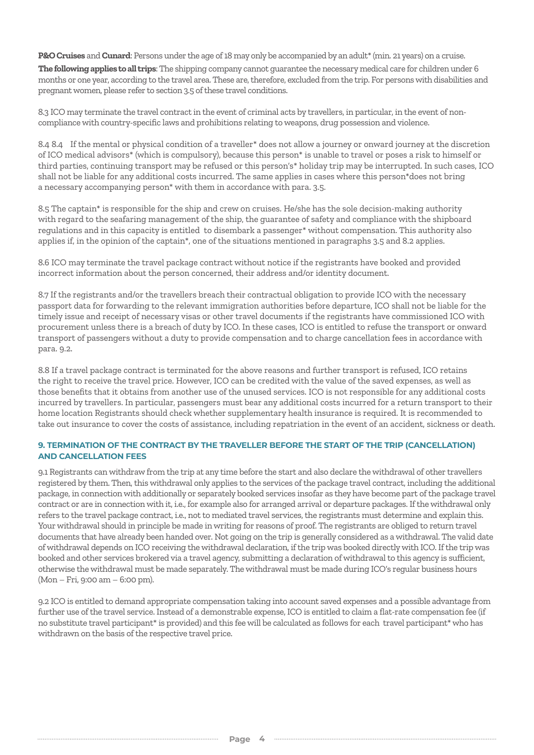**P&O Cruises** and **Cunard**: Persons under the age of 18 may only be accompanied by an adult\* (min. 21 years) on a cruise. **The following applies to all trips**: The shipping company cannot guarantee the necessary medical care for children under 6 months or one year, according to the travel area. These are, therefore, excluded from the trip. For persons with disabilities and pregnant women, please refer to section 3.5 of these travel conditions.

8.3 ICO may terminate the travel contract in the event of criminal acts by travellers, in particular, in the event of noncompliance with country-specific laws and prohibitions relating to weapons, drug possession and violence.

8.4 8.4 If the mental or physical condition of a traveller\* does not allow a journey or onward journey at the discretion of ICO medical advisors\* (which is compulsory), because this person\* is unable to travel or poses a risk to himself or third parties, continuing transport may be refused or this person's\* holiday trip may be interrupted. In such cases, ICO shall not be liable for any additional costs incurred. The same applies in cases where this person\*does not bring a necessary accompanying person\* with them in accordance with para. 3.5.

8.5 The captain\* is responsible for the ship and crew on cruises. He/she has the sole decision-making authority with regard to the seafaring management of the ship, the guarantee of safety and compliance with the shipboard regulations and in this capacity is entitled to disembark a passenger\* without compensation. This authority also applies if, in the opinion of the captain\*, one of the situations mentioned in paragraphs 3.5 and 8.2 applies.

8.6 ICO may terminate the travel package contract without notice if the registrants have booked and provided incorrect information about the person concerned, their address and/or identity document.

8.7 If the registrants and/or the travellers breach their contractual obligation to provide ICO with the necessary passport data for forwarding to the relevant immigration authorities before departure, ICO shall not be liable for the timely issue and receipt of necessary visas or other travel documents if the registrants have commissioned ICO with procurement unless there is a breach of duty by ICO. In these cases, ICO is entitled to refuse the transport or onward transport of passengers without a duty to provide compensation and to charge cancellation fees in accordance with para. 9.2.

8.8 If a travel package contract is terminated for the above reasons and further transport is refused, ICO retains the right to receive the travel price. However, ICO can be credited with the value of the saved expenses, as well as those benefits that it obtains from another use of the unused services. ICO is not responsible for any additional costs incurred by travellers. In particular, passengers must bear any additional costs incurred for a return transport to their home location Registrants should check whether supplementary health insurance is required. It is recommended to take out insurance to cover the costs of assistance, including repatriation in the event of an accident, sickness or death.

## **9. TERMINATION OF THE CONTRACT BY THE TRAVELLER BEFORE THE START OF THE TRIP (CANCELLATION) AND CANCELLATION FEES**

9.1 Registrants can withdraw from the trip at any time before the start and also declare the withdrawal of other travellers registered by them. Then, this withdrawal only applies to the services of the package travel contract, including the additional package, in connection with additionally or separately booked services insofar as they have become part of the package travel contract or are in connection with it, i.e., for example also for arranged arrival or departure packages. If the withdrawal only refers to the travel package contract, i.e., not to mediated travel services, the registrants must determine and explain this. Your withdrawal should in principle be made in writing for reasons of proof. The registrants are obliged to return travel documents that have already been handed over. Not going on the trip is generally considered as a withdrawal. The valid date of withdrawal depends on ICO receiving the withdrawal declaration, if the trip was booked directly with ICO. If the trip was booked and other services brokered via a travel agency, submitting a declaration of withdrawal to this agency is sufficient, otherwise the withdrawal must be made separately. The withdrawal must be made during ICO's regular business hours (Mon – Fri, 9:00 am – 6:00 pm).

9.2 ICO is entitled to demand appropriate compensation taking into account saved expenses and a possible advantage from further use of the travel service. Instead of a demonstrable expense, ICO is entitled to claim a flat-rate compensation fee (if no substitute travel participant\* is provided) and this fee will be calculated as follows for each travel participant\* who has withdrawn on the basis of the respective travel price.

 $\begin{minipage}{0.9\linewidth} \begin{tabular}{l} \hline \textbf{1} & \textbf{1} & \textbf{1} & \textbf{1} & \textbf{1} & \textbf{1} & \textbf{1} & \textbf{1} & \textbf{1} & \textbf{1} & \textbf{1} & \textbf{1} & \textbf{1} & \textbf{1} & \textbf{1} & \textbf{1} & \textbf{1} & \textbf{1} & \textbf{1} & \textbf{1} & \textbf{1} & \textbf{1} & \textbf{1} & \textbf{1} & \textbf{1} & \textbf{1} & \textbf{1} & \textbf{1} &$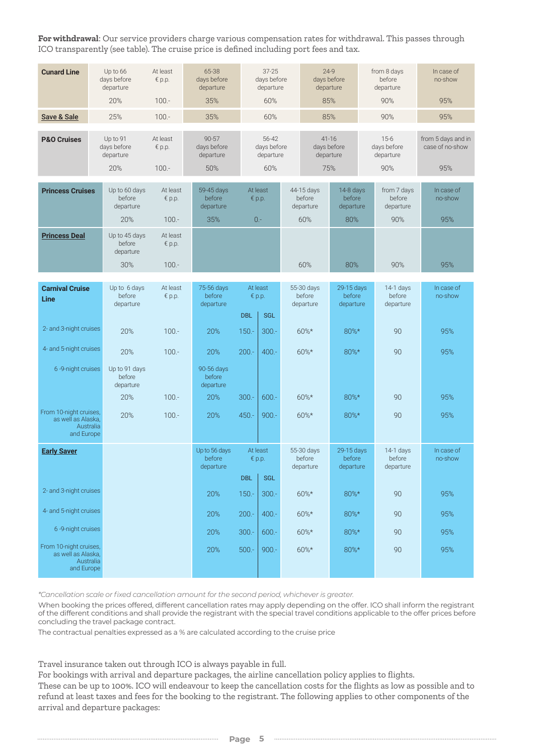**For withdrawal**: Our service providers charge various compensation rates for withdrawal. This passes through ICO transparently (see table). The cruise price is defined including port fees and tax.

| <b>Cunard Line</b>                                                      | Up to 66<br>days before<br>departure        | At least<br>$\n  p.p.\n$              | 65-38<br>days before<br>departure            |                               | $37 - 25$<br>days before<br>departure                 |         | $24-9$<br>days before<br>departure           |                                         | from 8 days<br>before<br>departure        |                                           | In case of<br>no-show                        |
|-------------------------------------------------------------------------|---------------------------------------------|---------------------------------------|----------------------------------------------|-------------------------------|-------------------------------------------------------|---------|----------------------------------------------|-----------------------------------------|-------------------------------------------|-------------------------------------------|----------------------------------------------|
|                                                                         | 20%                                         | $100. -$                              | 35%                                          |                               | 60%                                                   |         | 85%                                          |                                         |                                           | 90%                                       | 95%                                          |
| Save & Sale                                                             | 25%                                         | $100. -$<br>35%                       |                                              |                               | 60%                                                   |         | 85%                                          |                                         | 90%                                       |                                           | 95%                                          |
| <b>P&amp;O Cruises</b>                                                  | Up to 91<br>days before<br>departure<br>20% | At least<br>$\notin p.p.$<br>$100. -$ | $90 - 57$<br>days before<br>departure<br>50% |                               | 56-42<br>days before<br>departure<br>60%              |         | $41 - 16$<br>days before<br>departure<br>75% |                                         | $15-6$<br>days before<br>departure<br>90% |                                           | from 5 days and in<br>case of no-show<br>95% |
| <b>Princess Cruises</b>                                                 | Up to 60 days<br>before<br>departure<br>20% | At least<br>$\notin p.p.$<br>$100 -$  | 59-45 days<br>before<br>departure<br>35%     | At least<br>€ $p.p.$<br>$0 -$ |                                                       |         | 44-15 days<br>before<br>departure<br>60%     | 14-8 days<br>before<br>departure<br>80% |                                           | from 7 days<br>before<br>departure<br>90% | In case of<br>no-show<br>95%                 |
| <b>Princess Deal</b>                                                    | Up to 45 days<br>before<br>departure<br>30% | At least<br>$\notin$ p.p.<br>$100 -$  |                                              |                               |                                                       |         | 60%                                          | 80%                                     |                                           | 90%                                       | 95%                                          |
|                                                                         |                                             |                                       |                                              |                               |                                                       |         |                                              |                                         |                                           |                                           |                                              |
| <b>Carnival Cruise</b><br>Line                                          | Up to 6 days<br>before<br>departure         | At least<br>$\n  p.p.\n$              | 75-56 days<br>before<br>departure            |                               | At least<br>$\notin p.p.$<br><b>DBL</b><br><b>SGL</b> |         | 55-30 days<br>before<br>departure            | 29-15 days<br>before<br>departure       |                                           | 14-1 days<br>before<br>departure          | In case of<br>no-show                        |
| 2- and 3-night cruises                                                  | 20%                                         | $100 -$                               | 20%                                          | $150. -$                      | $300 -$                                               | $60\%*$ |                                              | 80%*                                    |                                           | 90                                        | 95%                                          |
| 4- and 5-night cruises                                                  | 20%                                         | $100 -$                               | 20%                                          | $200 -$                       | $400 -$                                               |         | $60\%*$                                      | 80%*                                    |                                           | 90                                        | 95%                                          |
| 6-9-night cruises                                                       | Up to 91 days<br>before<br>departure<br>20% | $100 -$                               | 90-56 days<br>before<br>departure<br>20%     | $300 -$                       | $600 -$                                               |         | 60%*                                         | $80\%$ *                                |                                           | 90                                        | 95%                                          |
|                                                                         |                                             |                                       |                                              |                               |                                                       |         |                                              |                                         |                                           |                                           |                                              |
| From 10-night cruises,<br>as well as Alaska,<br>Australia<br>and Europe | 20%                                         | $100. -$                              | 20%                                          | $450 -$                       | $900 -$                                               | $60\%*$ |                                              | 80%*                                    |                                           | 90                                        | 95%                                          |
| <b>Early Saver</b>                                                      |                                             |                                       | Up to 56 days<br>before<br>departure         |                               | At least<br>$\notin p.p.$<br><b>DBL</b><br><b>SGL</b> |         | 55-30 days<br>before<br>departure            | 29-15 days<br>before<br>departure       |                                           | $14-1$ days<br>before<br>departure        | In case of<br>no-show                        |
| 2- and 3-night cruises                                                  |                                             |                                       | 20%                                          | $150. -$                      | $300 -$                                               |         | 60%*                                         | $80\%*$                                 |                                           | 90                                        | 95%                                          |
| 4- and 5-night cruises                                                  |                                             |                                       | 20%                                          | $200. -$                      | $400 -$                                               |         | 60%*                                         | 80%*                                    |                                           | 90                                        | 95%                                          |
| 6-9-night cruises                                                       |                                             |                                       | 20%                                          | $300 -$                       | $600. -$                                              |         | $60\%*$                                      | $80\%*$                                 |                                           | 90                                        | 95%                                          |
| From 10-night cruises,<br>as well as Alaska,<br>Australia<br>and Europe |                                             |                                       | 20%                                          | $500 -$                       | $900 -$                                               |         | 60%*                                         | $80\%*$                                 |                                           | 90                                        | 95%                                          |

*\*Cancellation scale or fixed cancellation amount for the second period, whichever is greater.*

When booking the prices offered, different cancellation rates may apply depending on the offer. ICO shall inform the registrant of the different conditions and shall provide the registrant with the special travel conditions applicable to the offer prices before concluding the travel package contract.

The contractual penalties expressed as a % are calculated according to the cruise price

Travel insurance taken out through ICO is always payable in full.

For bookings with arrival and departure packages, the airline cancellation policy applies to flights. These can be up to 100%. ICO will endeavour to keep the cancellation costs for the flights as low as possible and to refund at least taxes and fees for the booking to the registrant. The following applies to other components of the arrival and departure packages: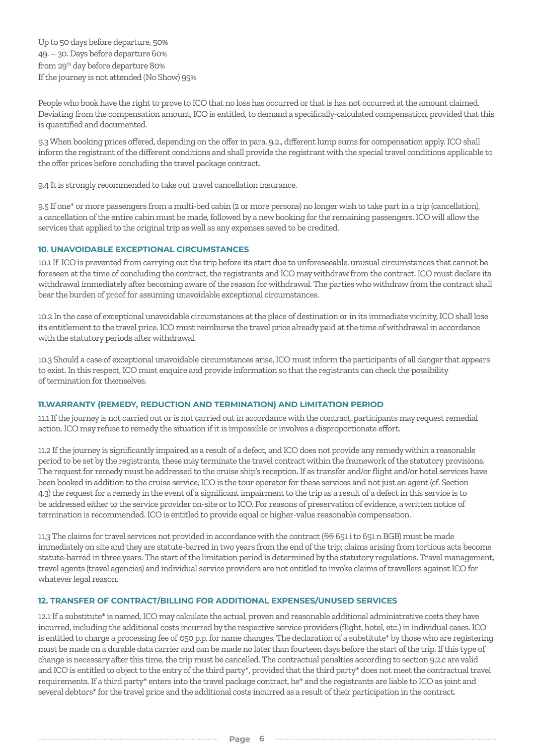Up to 50 days before departure, 50% 49. – 30. Days before departure 60% from 29th day before departure 80% If the journey is not attended (No Show) 95%

People who book have the right to prove to ICO that no loss has occurred or that is has not occurred at the amount claimed. Deviating from the compensation amount, ICO is entitled, to demand a specifically-calculated compensation, provided that this is quantified and documented.

9.3 When booking prices offered, depending on the offer in para. 9.2., different lump sums for compensation apply. ICO shall inform the registrant of the different conditions and shall provide the registrant with the special travel conditions applicable to the offer prices before concluding the travel package contract.

9.4 It is strongly recommended to take out travel cancellation insurance.

9.5 If one\* or more passengers from a multi-bed cabin (2 or more persons) no longer wish to take part in a trip (cancellation), a cancellation of the entire cabin must be made, followed by a new booking for the remaining passengers. ICO will allow the services that applied to the original trip as well as any expenses saved to be credited.

#### **10. UNAVOIDABLE EXCEPTIONAL CIRCUMSTANCES**

10.1 If ICO is prevented from carrying out the trip before its start due to unforeseeable, unusual circumstances that cannot be foreseen at the time of concluding the contract, the registrants and ICO may withdraw from the contract. ICO must declare its withdrawal immediately after becoming aware of the reason for withdrawal. The parties who withdraw from the contract shall bear the burden of proof for assuming unavoidable exceptional circumstances.

10.2 In the case of exceptional unavoidable circumstances at the place of destination or in its immediate vicinity, ICO shall lose its entitlement to the travel price. ICO must reimburse the travel price already paid at the time of withdrawal in accordance with the statutory periods after withdrawal.

10.3 Should a case of exceptional unavoidable circumstances arise, ICO must inform the participants of all danger that appears to exist. In this respect, ICO must enquire and provide information so that the registrants can check the possibility of termination for themselves.

#### **11.WARRANTY (REMEDY, REDUCTION AND TERMINATION) AND LIMITATION PERIOD**

11.1 If the journey is not carried out or is not carried out in accordance with the contract, participants may request remedial action. ICO may refuse to remedy the situation if it is impossible or involves a disproportionate effort.

11.2 If the journey is significantly impaired as a result of a defect, and ICO does not provide any remedy within a reasonable period to be set by the registrants, these may terminate the travel contract within the framework of the statutory provisions. The request for remedy must be addressed to the cruise ship's reception. If as transfer and/or flight and/or hotel services have been booked in addition to the cruise service, ICO is the tour operator for these services and not just an agent (cf. Section 4.3) the request for a remedy in the event of a significant impairment to the trip as a result of a defect in this service is to be addressed either to the service provider on-site or to ICO. For reasons of preservation of evidence, a written notice of termination is recommended. ICO is entitled to provide equal or higher-value reasonable compensation.

11.3 The claims for travel services not provided in accordance with the contract (§§ 651 i to 651 n BGB) must be made immediately on site and they are statute-barred in two years from the end of the trip; claims arising from tortious acts become statute-barred in three years. The start of the limitation period is determined by the statutory regulations. Travel management, travel agents (travel agencies) and individual service providers are not entitled to invoke claims of travellers against ICO for whatever legal reason.

#### **12. TRANSFER OF CONTRACT/BILLING FOR ADDITIONAL EXPENSES/UNUSED SERVICES**

12.1 If a substitute\* is named, ICO may calculate the actual, proven and reasonable additional administrative costs they have incurred, including the additional costs incurred by the respective service providers (flight, hotel, etc.) in individual cases. ICO is entitled to charge a processing fee of €50 p.p. for name changes. The declaration of a substitute\* by those who are registering must be made on a durable data carrier and can be made no later than fourteen days before the start of the trip. If this type of change is necessary after this time, the trip must be cancelled. The contractual penalties according to section 9.2.c are valid and ICO is entitled to object to the entry of the third party\*, provided that the third party\* does not meet the contractual travel requirements. If a third party\* enters into the travel package contract, he\* and the registrants are liable to ICO as joint and several debtors\* for the travel price and the additional costs incurred as a result of their participation in the contract.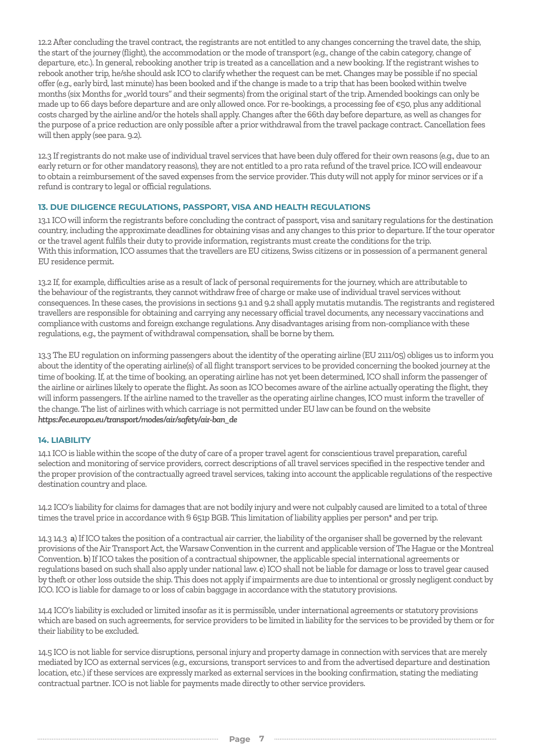12.2 After concluding the travel contract, the registrants are not entitled to any changes concerning the travel date, the ship, the start of the journey (flight), the accommodation or the mode of transport (e.g., change of the cabin category, change of departure, etc.). In general, rebooking another trip is treated as a cancellation and a new booking. If the registrant wishes to rebook another trip, he/she should ask ICO to clarify whether the request can be met. Changes may be possible if no special offer (e.g., early bird, last minute) has been booked and if the change is made to a trip that has been booked within twelve months (six Months for "world tours" and their segments) from the original start of the trip. Amended bookings can only be made up to 66 days before departure and are only allowed once. For re-bookings, a processing fee of €50, plus any additional costs charged by the airline and/or the hotels shall apply. Changes after the 66th day before departure, as well as changes for the purpose of a price reduction are only possible after a prior withdrawal from the travel package contract. Cancellation fees will then apply (see para. 9.2).

12.3 If registrants do not make use of individual travel services that have been duly offered for their own reasons (e.g., due to an early return or for other mandatory reasons), they are not entitled to a pro rata refund of the travel price. ICO will endeavour to obtain a reimbursement of the saved expenses from the service provider. This duty will not apply for minor services or if a refund is contrary to legal or official regulations.

## **13. DUE DILIGENCE REGULATIONS, PASSPORT, VISA AND HEALTH REGULATIONS**

13.1 ICO will inform the registrants before concluding the contract of passport, visa and sanitary regulations for the destination country, including the approximate deadlines for obtaining visas and any changes to this prior to departure. If the tour operator or the travel agent fulfils their duty to provide information, registrants must create the conditions for the trip. With this information, ICO assumes that the travellers are EU citizens, Swiss citizens or in possession of a permanent general EU residence permit.

13.2 If, for example, difficulties arise as a result of lack of personal requirements for the journey, which are attributable to the behaviour of the registrants, they cannot withdraw free of charge or make use of individual travel services without consequences. In these cases, the provisions in sections 9.1 and 9.2 shall apply mutatis mutandis. The registrants and registered travellers are responsible for obtaining and carrying any necessary official travel documents, any necessary vaccinations and compliance with customs and foreign exchange regulations. Any disadvantages arising from non-compliance with these regulations, e.g., the payment of withdrawal compensation, shall be borne by them.

13.3 The EU regulation on informing passengers about the identity of the operating airline (EU 2111/05) obliges us to inform you about the identity of the operating airline(s) of all flight transport services to be provided concerning the booked journey at the time of booking. If, at the time of booking, an operating airline has not yet been determined, ICO shall inform the passenger of the airline or airlines likely to operate the flight. As soon as ICO becomes aware of the airline actually operating the flight, they will inform passengers. If the airline named to the traveller as the operating airline changes, ICO must inform the traveller of the change. The list of airlines with which carriage is not permitted under EU law can be found on the website *https://ec.europa.eu/transport/modes/air/safety/air-ban\_de*

## **14. LIABILITY**

14.1 ICO is liable within the scope of the duty of care of a proper travel agent for conscientious travel preparation, careful selection and monitoring of service providers, correct descriptions of all travel services specified in the respective tender and the proper provision of the contractually agreed travel services, taking into account the applicable regulations of the respective destination country and place.

14.2 ICO's liability for claims for damages that are not bodily injury and were not culpably caused are limited to a total of three times the travel price in accordance with § 651p BGB. This limitation of liability applies per person\* and per trip.

14.3 14.3 **a**) If ICO takes the position of a contractual air carrier, the liability of the organiser shall be governed by the relevant provisions of the Air Transport Act, the Warsaw Convention in the current and applicable version of The Hague or the Montreal Convention. **b**) If ICO takes the position of a contractual shipowner, the applicable special international agreements or regulations based on such shall also apply under national law. **c**) ICO shall not be liable for damage or loss to travel gear caused by theft or other loss outside the ship. This does not apply if impairments are due to intentional or grossly negligent conduct by ICO. ICO is liable for damage to or loss of cabin baggage in accordance with the statutory provisions.

14.4 ICO's liability is excluded or limited insofar as it is permissible, under international agreements or statutory provisions which are based on such agreements, for service providers to be limited in liability for the services to be provided by them or for their liability to be excluded.

14.5 ICO is not liable for service disruptions, personal injury and property damage in connection with services that are merely mediated by ICO as external services (e.g., excursions, transport services to and from the advertised departure and destination location, etc.) if these services are expressly marked as external services in the booking confirmation, stating the mediating contractual partner. ICO is not liable for payments made directly to other service providers.